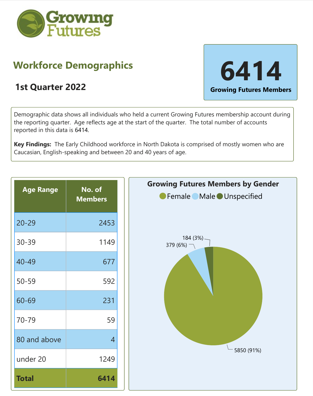

## **Workforce Demographics**



Demographic data shows all individuals who held a current Growing Futures membership account during the reporting quarter. Age reflects age at the start of the quarter. The total number of accounts reported in this data is 6414.

**Key Findings:** The Early Childhood workforce in North Dakota is comprised of mostly women who are Caucasian, English-speaking and between 20 and 40 years of age.

| <b>Age Range</b> | No. of<br><b>Members</b> |
|------------------|--------------------------|
| $20 - 29$        | 2453                     |
| 30-39            | 1149                     |
| 40-49            | 677                      |
| $50 - 59$        | 592                      |
| 60-69            | 231                      |
| 70-79            | 59                       |
| 80 and above     | 4                        |
| under 20         | 1249                     |
| <b>Total</b>     | 6414                     |